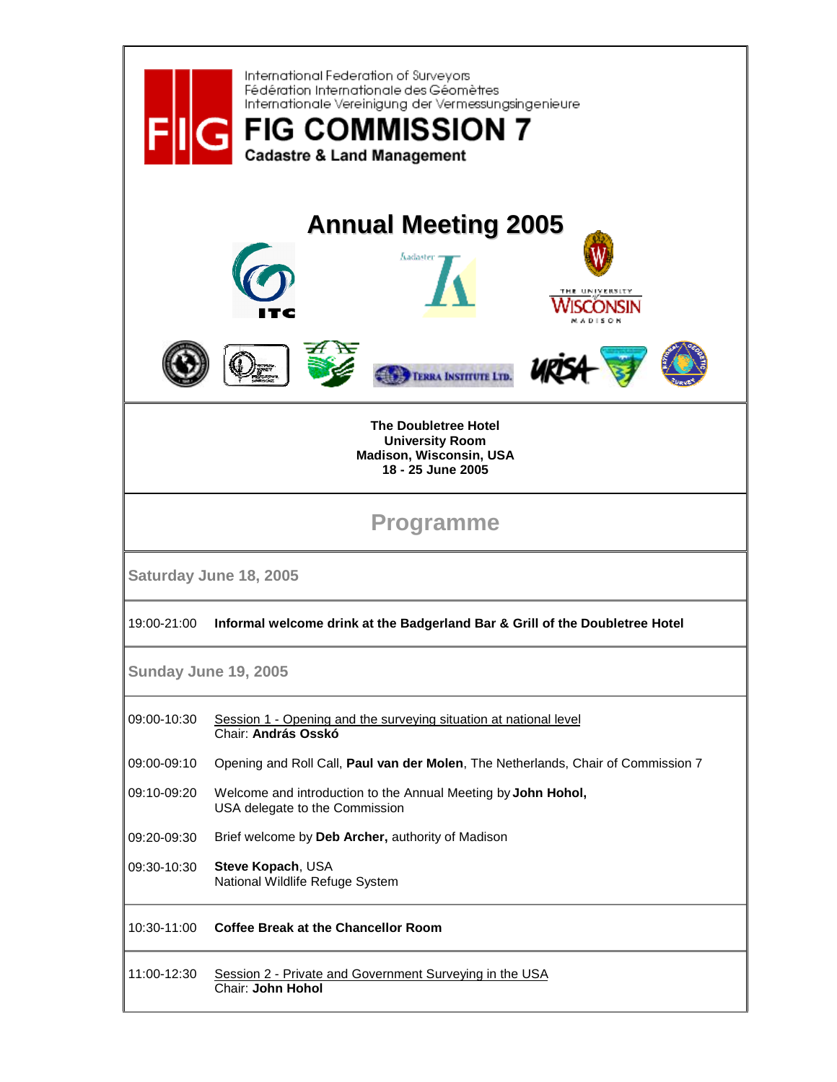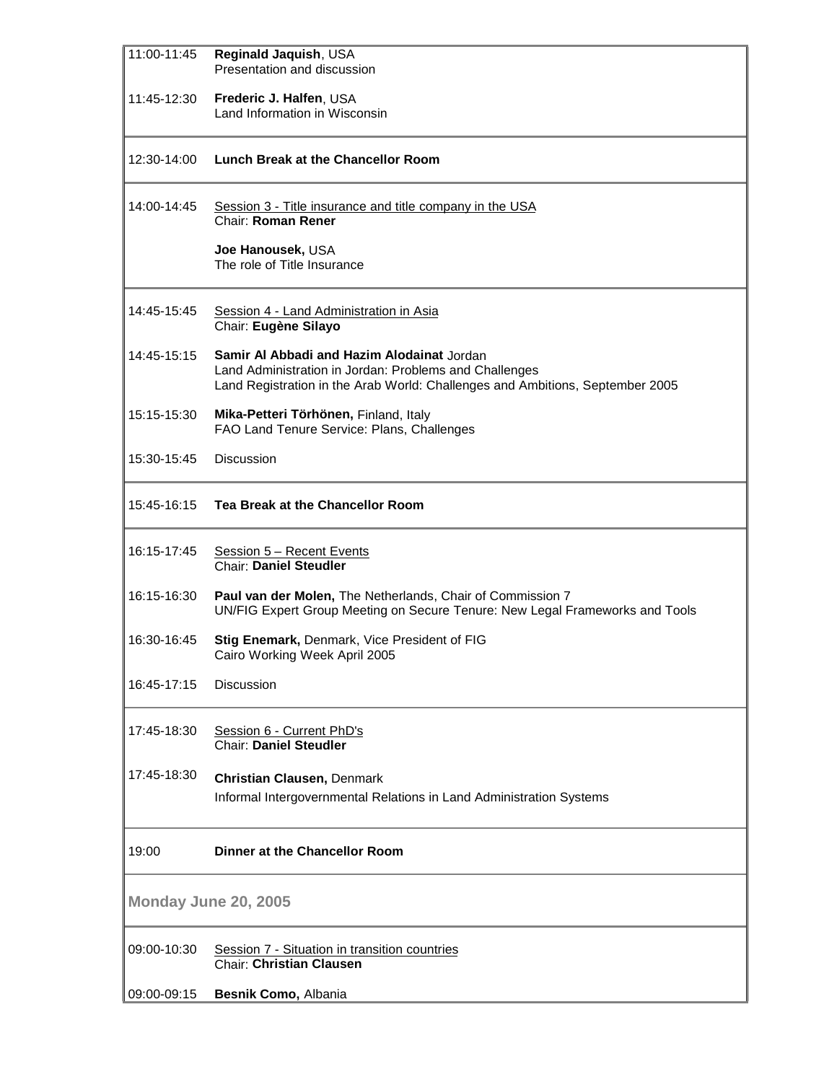| 11:00-11:45          | Reginald Jaquish, USA<br>Presentation and discussion                                                                                                                                  |  |
|----------------------|---------------------------------------------------------------------------------------------------------------------------------------------------------------------------------------|--|
| 11:45-12:30          | Frederic J. Halfen, USA<br>Land Information in Wisconsin                                                                                                                              |  |
| 12:30-14:00          | Lunch Break at the Chancellor Room                                                                                                                                                    |  |
| 14:00-14:45          | Session 3 - Title insurance and title company in the USA<br><b>Chair: Roman Rener</b>                                                                                                 |  |
|                      | Joe Hanousek, USA<br>The role of Title Insurance                                                                                                                                      |  |
| 14:45-15:45          | Session 4 - Land Administration in Asia<br>Chair: Eugène Silayo                                                                                                                       |  |
| 14:45-15:15          | Samir Al Abbadi and Hazim Alodainat Jordan<br>Land Administration in Jordan: Problems and Challenges<br>Land Registration in the Arab World: Challenges and Ambitions, September 2005 |  |
| 15:15-15:30          | Mika-Petteri Törhönen, Finland, Italy<br>FAO Land Tenure Service: Plans, Challenges                                                                                                   |  |
| 15:30-15:45          | <b>Discussion</b>                                                                                                                                                                     |  |
| 15:45-16:15          | Tea Break at the Chancellor Room                                                                                                                                                      |  |
| 16:15-17:45          | Session 5 - Recent Events<br><b>Chair: Daniel Steudler</b>                                                                                                                            |  |
| 16:15-16:30          | Paul van der Molen, The Netherlands, Chair of Commission 7<br>UN/FIG Expert Group Meeting on Secure Tenure: New Legal Frameworks and Tools                                            |  |
| 16:30-16:45          | Stig Enemark, Denmark, Vice President of FIG<br>Cairo Working Week April 2005                                                                                                         |  |
| 16:45-17:15          | <b>Discussion</b>                                                                                                                                                                     |  |
| 17:45-18:30          | Session 6 - Current PhD's<br><b>Chair: Daniel Steudler</b>                                                                                                                            |  |
| 17:45-18:30          | <b>Christian Clausen, Denmark</b><br>Informal Intergovernmental Relations in Land Administration Systems                                                                              |  |
| 19:00                | <b>Dinner at the Chancellor Room</b>                                                                                                                                                  |  |
| Monday June 20, 2005 |                                                                                                                                                                                       |  |
| 09:00-10:30          | Session 7 - Situation in transition countries<br><b>Chair: Christian Clausen</b>                                                                                                      |  |
| 09:00-09:15          | Besnik Como, Albania                                                                                                                                                                  |  |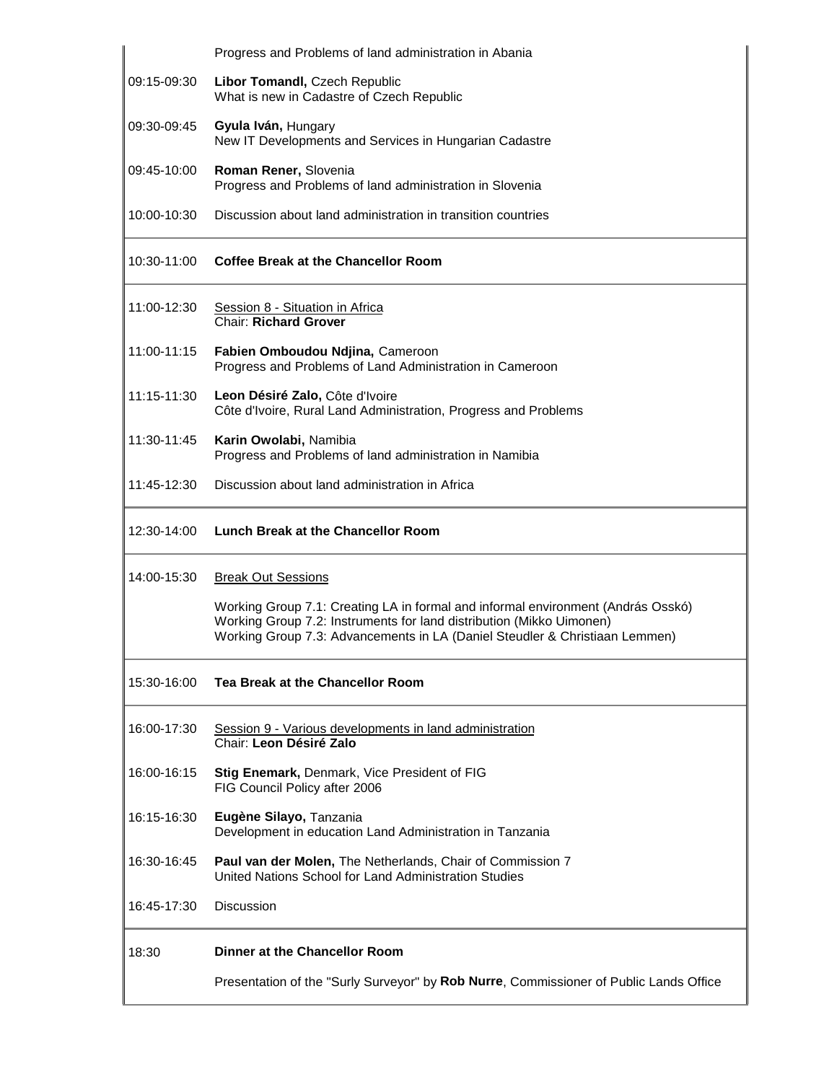|             | Progress and Problems of land administration in Abania                                                                                                                                                                                  |
|-------------|-----------------------------------------------------------------------------------------------------------------------------------------------------------------------------------------------------------------------------------------|
| 09:15-09:30 | Libor Tomandl, Czech Republic<br>What is new in Cadastre of Czech Republic                                                                                                                                                              |
| 09:30-09:45 | Gyula Iván, Hungary<br>New IT Developments and Services in Hungarian Cadastre                                                                                                                                                           |
| 09:45-10:00 | Roman Rener, Slovenia<br>Progress and Problems of land administration in Slovenia                                                                                                                                                       |
| 10:00-10:30 | Discussion about land administration in transition countries                                                                                                                                                                            |
| 10:30-11:00 | <b>Coffee Break at the Chancellor Room</b>                                                                                                                                                                                              |
| 11:00-12:30 | Session 8 - Situation in Africa<br><b>Chair: Richard Grover</b>                                                                                                                                                                         |
| 11:00-11:15 | Fabien Omboudou Ndjina, Cameroon<br>Progress and Problems of Land Administration in Cameroon                                                                                                                                            |
| 11:15-11:30 | Leon Désiré Zalo, Côte d'Ivoire<br>Côte d'Ivoire, Rural Land Administration, Progress and Problems                                                                                                                                      |
| 11:30-11:45 | Karin Owolabi, Namibia<br>Progress and Problems of land administration in Namibia                                                                                                                                                       |
| 11:45-12:30 | Discussion about land administration in Africa                                                                                                                                                                                          |
| 12:30-14:00 | Lunch Break at the Chancellor Room                                                                                                                                                                                                      |
| 14:00-15:30 | <b>Break Out Sessions</b>                                                                                                                                                                                                               |
|             | Working Group 7.1: Creating LA in formal and informal environment (András Osskó)<br>Working Group 7.2: Instruments for land distribution (Mikko Uimonen)<br>Working Group 7.3: Advancements in LA (Daniel Steudler & Christiaan Lemmen) |
| 15:30-16:00 | Tea Break at the Chancellor Room                                                                                                                                                                                                        |
| 16:00-17:30 | Session 9 - Various developments in land administration<br>Chair: Leon Désiré Zalo                                                                                                                                                      |
| 16:00-16:15 | Stig Enemark, Denmark, Vice President of FIG<br>FIG Council Policy after 2006                                                                                                                                                           |
| 16:15-16:30 | Eugène Silayo, Tanzania<br>Development in education Land Administration in Tanzania                                                                                                                                                     |
| 16:30-16:45 | <b>Paul van der Molen, The Netherlands, Chair of Commission 7</b><br>United Nations School for Land Administration Studies                                                                                                              |
| 16:45-17:30 | <b>Discussion</b>                                                                                                                                                                                                                       |
| 18:30       | Dinner at the Chancellor Room                                                                                                                                                                                                           |
|             | Presentation of the "Surly Surveyor" by Rob Nurre, Commissioner of Public Lands Office                                                                                                                                                  |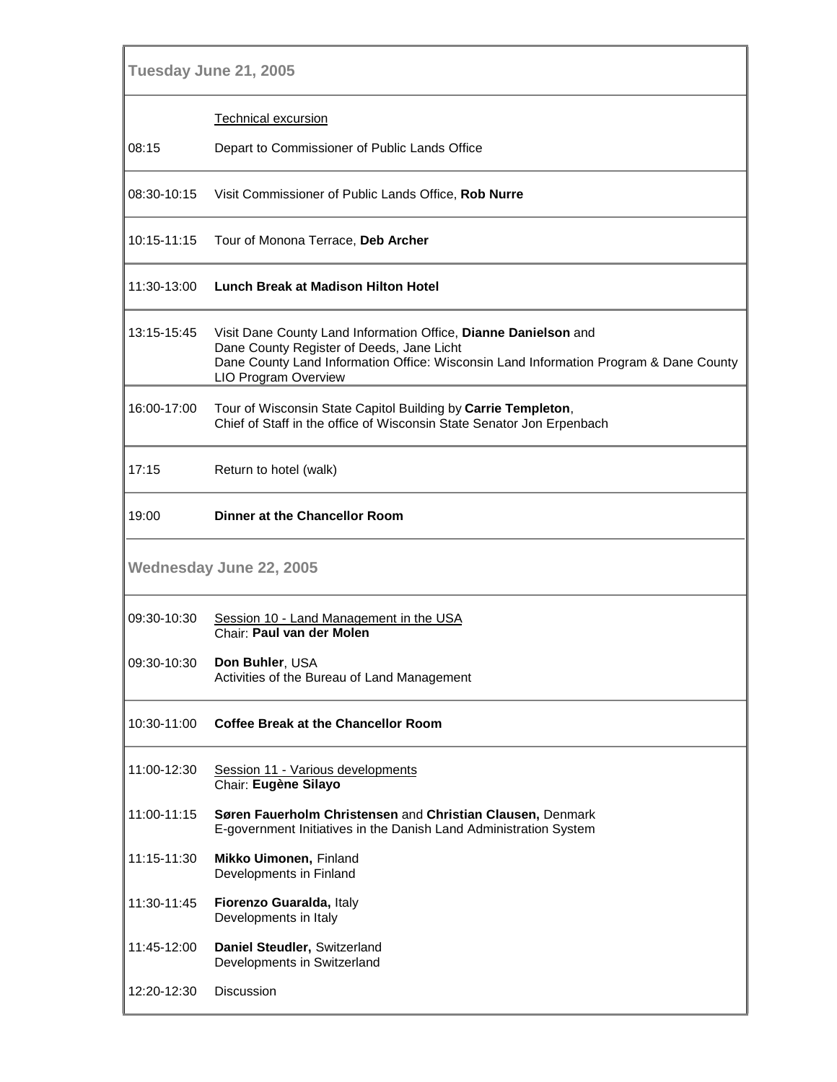| Tuesday June 21, 2005          |                                                                                                                                                                                                                                      |  |
|--------------------------------|--------------------------------------------------------------------------------------------------------------------------------------------------------------------------------------------------------------------------------------|--|
|                                | <b>Technical excursion</b>                                                                                                                                                                                                           |  |
| 08:15                          | Depart to Commissioner of Public Lands Office                                                                                                                                                                                        |  |
| 08:30-10:15                    | Visit Commissioner of Public Lands Office, Rob Nurre                                                                                                                                                                                 |  |
| 10:15-11:15                    | Tour of Monona Terrace, Deb Archer                                                                                                                                                                                                   |  |
| 11:30-13:00                    | Lunch Break at Madison Hilton Hotel                                                                                                                                                                                                  |  |
| 13:15-15:45                    | Visit Dane County Land Information Office, Dianne Danielson and<br>Dane County Register of Deeds, Jane Licht<br>Dane County Land Information Office: Wisconsin Land Information Program & Dane County<br><b>LIO Program Overview</b> |  |
| 16:00-17:00                    | Tour of Wisconsin State Capitol Building by Carrie Templeton,<br>Chief of Staff in the office of Wisconsin State Senator Jon Erpenbach                                                                                               |  |
| 17:15                          | Return to hotel (walk)                                                                                                                                                                                                               |  |
| 19:00                          | Dinner at the Chancellor Room                                                                                                                                                                                                        |  |
| <b>Wednesday June 22, 2005</b> |                                                                                                                                                                                                                                      |  |
| 09:30-10:30                    | Session 10 - Land Management in the USA<br>Chair: Paul van der Molen                                                                                                                                                                 |  |
| 09:30-10:30                    | Don Buhler, USA<br>Activities of the Bureau of Land Management                                                                                                                                                                       |  |
| 10:30-11:00                    | <b>Coffee Break at the Chancellor Room</b>                                                                                                                                                                                           |  |
| 11:00-12:30                    | Session 11 - Various developments<br>Chair: Eugène Silayo                                                                                                                                                                            |  |
| 11:00-11:15                    | Søren Fauerholm Christensen and Christian Clausen, Denmark<br>E-government Initiatives in the Danish Land Administration System                                                                                                      |  |
| 11:15-11:30                    | Mikko Uimonen, Finland<br>Developments in Finland                                                                                                                                                                                    |  |
| 11:30-11:45                    | Fiorenzo Guaralda, Italy<br>Developments in Italy                                                                                                                                                                                    |  |
| 11:45-12:00                    | Daniel Steudler, Switzerland<br>Developments in Switzerland                                                                                                                                                                          |  |
| 12:20-12:30                    | <b>Discussion</b>                                                                                                                                                                                                                    |  |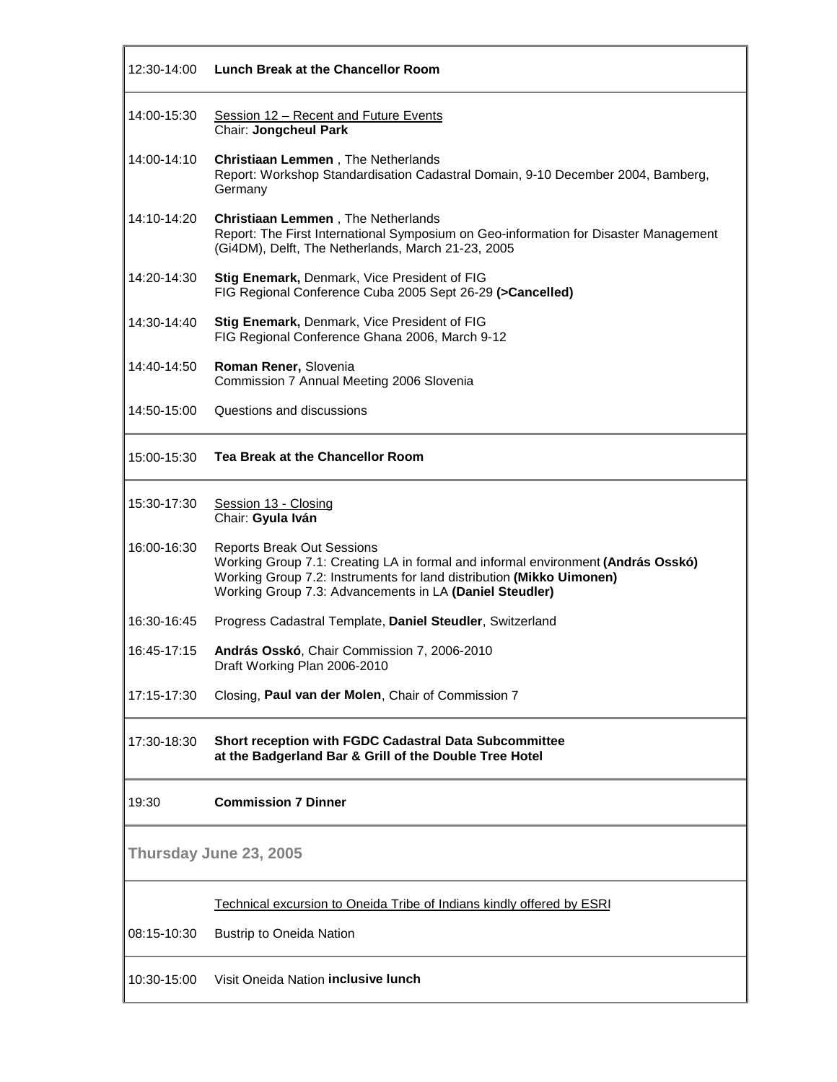| 12:30-14:00            | Lunch Break at the Chancellor Room                                                                                                                                                                                                                       |
|------------------------|----------------------------------------------------------------------------------------------------------------------------------------------------------------------------------------------------------------------------------------------------------|
| 14:00-15:30            | Session 12 - Recent and Future Events<br>Chair: Jongcheul Park                                                                                                                                                                                           |
| 14:00-14:10            | <b>Christiaan Lemmen</b> , The Netherlands<br>Report: Workshop Standardisation Cadastral Domain, 9-10 December 2004, Bamberg,<br>Germany                                                                                                                 |
| 14:10-14:20            | <b>Christiaan Lemmen</b> , The Netherlands<br>Report: The First International Symposium on Geo-information for Disaster Management<br>(Gi4DM), Delft, The Netherlands, March 21-23, 2005                                                                 |
| 14:20-14:30            | Stig Enemark, Denmark, Vice President of FIG<br>FIG Regional Conference Cuba 2005 Sept 26-29 (>Cancelled)                                                                                                                                                |
| 14:30-14:40            | Stig Enemark, Denmark, Vice President of FIG<br>FIG Regional Conference Ghana 2006, March 9-12                                                                                                                                                           |
| 14:40-14:50            | Roman Rener, Slovenia<br>Commission 7 Annual Meeting 2006 Slovenia                                                                                                                                                                                       |
| 14:50-15:00            | Questions and discussions                                                                                                                                                                                                                                |
| 15:00-15:30            | Tea Break at the Chancellor Room                                                                                                                                                                                                                         |
| 15:30-17:30            | Session 13 - Closing<br>Chair: Gyula Iván                                                                                                                                                                                                                |
| 16:00-16:30            | <b>Reports Break Out Sessions</b><br>Working Group 7.1: Creating LA in formal and informal environment (András Osskó)<br>Working Group 7.2: Instruments for land distribution (Mikko Uimonen)<br>Working Group 7.3: Advancements in LA (Daniel Steudler) |
| 16:30-16:45            | Progress Cadastral Template, Daniel Steudler, Switzerland                                                                                                                                                                                                |
| 16:45-17:15            | András Osskó, Chair Commission 7, 2006-2010<br>Draft Working Plan 2006-2010                                                                                                                                                                              |
| 17:15-17:30            | Closing, Paul van der Molen, Chair of Commission 7                                                                                                                                                                                                       |
| 17:30-18:30            | Short reception with FGDC Cadastral Data Subcommittee<br>at the Badgerland Bar & Grill of the Double Tree Hotel                                                                                                                                          |
| 19:30                  | <b>Commission 7 Dinner</b>                                                                                                                                                                                                                               |
| Thursday June 23, 2005 |                                                                                                                                                                                                                                                          |
|                        | Technical excursion to Oneida Tribe of Indians kindly offered by ESRI                                                                                                                                                                                    |
| 08:15-10:30            | <b>Bustrip to Oneida Nation</b>                                                                                                                                                                                                                          |
| 10:30-15:00            | Visit Oneida Nation inclusive lunch                                                                                                                                                                                                                      |